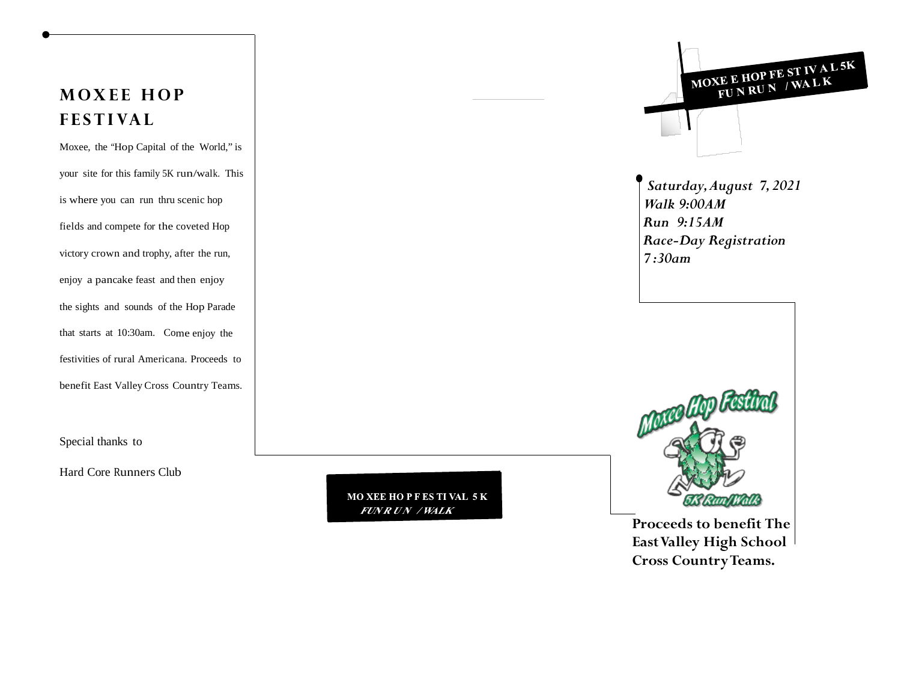# **MOXEE HOP FESTIVAL**

Moxee, the "Hop Capital of the World," is your site for this family 5K run/walk. This is where you can run thru scenic hop fields and compete for the coveted Hop victory crown and trophy, after the run, enjoy a pancake feast and then enjoy the sights and sounds of the Hop Parade that starts at 10:30am. Come enjoy the festivities of rural Americana. Proceeds to benefit East Valley Cross Country Teams.

Special thanks to

Hard Core Runners Club

**MO XEE HO PFES TI VAL 5K FUNR UN / WALK** 



**Proceeds to benefit The East Valley High School Cross Country Teams.**